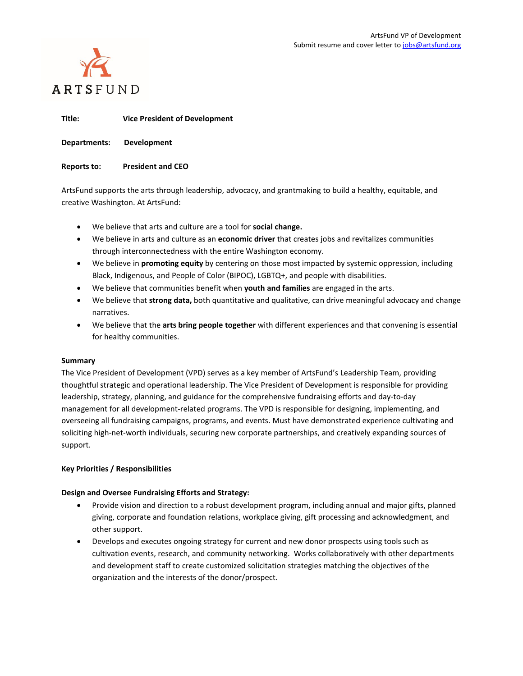

**Title: Vice President of Development**

**Departments: Development**

**Reports to: President and CEO**

ArtsFund supports the arts through leadership, advocacy, and grantmaking to build a healthy, equitable, and creative Washington. At ArtsFund:

- We believe that arts and culture are a tool for **social change.**
- We believe in arts and culture as an **economic driver** that creates jobs and revitalizes communities through interconnectedness with the entire Washington economy.
- We believe in **promoting equity** by centering on those most impacted by systemic oppression, including Black, Indigenous, and People of Color (BIPOC), LGBTQ+, and people with disabilities.
- We believe that communities benefit when **youth and families** are engaged in the arts.
- We believe that **strong data,** both quantitative and qualitative, can drive meaningful advocacy and change narratives.
- We believe that the **arts bring people together** with different experiences and that convening is essential for healthy communities.

# **Summary**

The Vice President of Development (VPD) serves as a key member of ArtsFund's Leadership Team, providing thoughtful strategic and operational leadership. The Vice President of Development is responsible for providing leadership, strategy, planning, and guidance for the comprehensive fundraising efforts and day-to-day management for all development-related programs. The VPD is responsible for designing, implementing, and overseeing all fundraising campaigns, programs, and events. Must have demonstrated experience cultivating and soliciting high-net-worth individuals, securing new corporate partnerships, and creatively expanding sources of support.

# **Key Priorities / Responsibilities**

# **Design and Oversee Fundraising Efforts and Strategy:**

- Provide vision and direction to a robust development program, including annual and major gifts, planned giving, corporate and foundation relations, workplace giving, gift processing and acknowledgment, and other support.
- Develops and executes ongoing strategy for current and new donor prospects using tools such as cultivation events, research, and community networking. Works collaboratively with other departments and development staff to create customized solicitation strategies matching the objectives of the organization and the interests of the donor/prospect.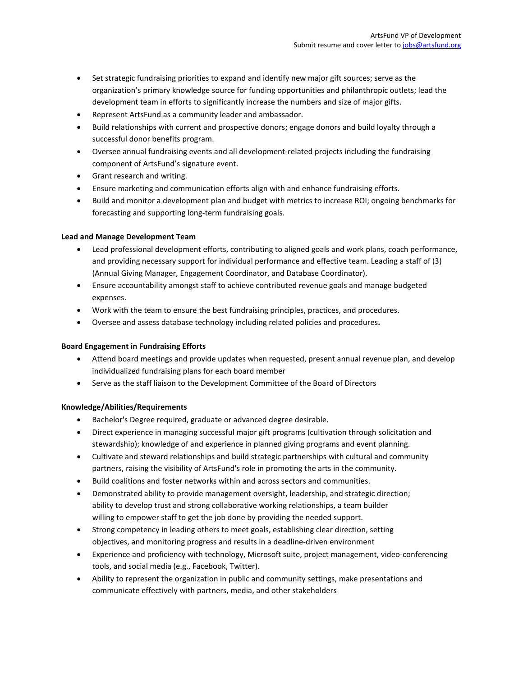- Set strategic fundraising priorities to expand and identify new major gift sources; serve as the organization's primary knowledge source for funding opportunities and philanthropic outlets; lead the development team in efforts to significantly increase the numbers and size of major gifts.
- Represent ArtsFund as a community leader and ambassador.
- Build relationships with current and prospective donors; engage donors and build loyalty through a successful donor benefits program.
- Oversee annual fundraising events and all development-related projects including the fundraising component of ArtsFund's signature event.
- Grant research and writing.
- Ensure marketing and communication efforts align with and enhance fundraising efforts.
- Build and monitor a development plan and budget with metrics to increase ROI; ongoing benchmarks for forecasting and supporting long-term fundraising goals.

# **Lead and Manage Development Team**

- Lead professional development efforts, contributing to aligned goals and work plans, coach performance, and providing necessary support for individual performance and effective team. Leading a staff of (3) (Annual Giving Manager, Engagement Coordinator, and Database Coordinator).
- Ensure accountability amongst staff to achieve contributed revenue goals and manage budgeted expenses.
- Work with the team to ensure the best fundraising principles, practices, and procedures.
- Oversee and assess database technology including related policies and procedures**.**

# **Board Engagement in Fundraising Efforts**

- Attend board meetings and provide updates when requested, present annual revenue plan, and develop individualized fundraising plans for each board member
- Serve as the staff liaison to the Development Committee of the Board of Directors

# **Knowledge/Abilities/Requirements**

- Bachelor's Degree required, graduate or advanced degree desirable.
- Direct experience in managing successful major gift programs (cultivation through solicitation and stewardship); knowledge of and experience in planned giving programs and event planning.
- Cultivate and steward relationships and build strategic partnerships with cultural and community partners, raising the visibility of ArtsFund's role in promoting the arts in the community.
- Build coalitions and foster networks within and across sectors and communities.
- Demonstrated ability to provide management oversight, leadership, and strategic direction; ability to develop trust and strong collaborative working relationships, a team builder willing to empower staff to get the job done by providing the needed support.
- Strong competency in leading others to meet goals, establishing clear direction, setting objectives, and monitoring progress and results in a deadline-driven environment
- Experience and proficiency with technology, Microsoft suite, project management, video-conferencing tools, and social media (e.g., Facebook, Twitter).
- Ability to represent the organization in public and community settings, make presentations and communicate effectively with partners, media, and other stakeholders